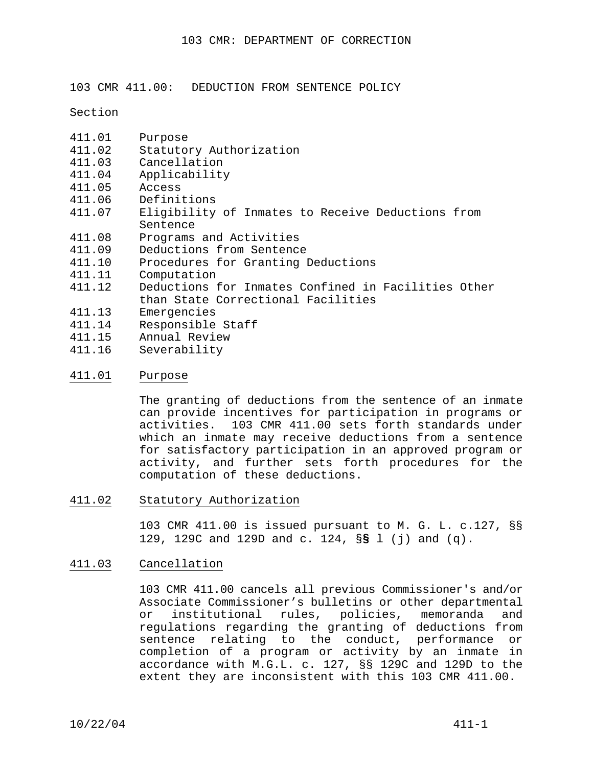103 CMR 411.00: DEDUCTION FROM SENTENCE POLICY

Section

- 411.01 Purpose
- 411.02 Statutory Authorization<br>411.03 Cancellation
- 411.03 Cancellation<br>411.04 Applicability
- Applicability
- 411.05 Access
- 411.06 Definitions<br>411.07 Eligibility
- Eligibility of Inmates to Receive Deductions from Sentence
- 411.08 Programs and Activities
- 411.09 Deductions from Sentence
- 411.10 Procedures for Granting Deductions<br>411.11 Computation
- 411.11 Computation<br>411.12 Deductions
- Deductions for Inmates Confined in Facilities Other than State Correctional Facilities
- 411.13 Emergencies
- 411.14 Responsible Staff<br>411.15 Annual Review
- Annual Review
- 411.16 Severability

#### 411.01 Purpose

The granting of deductions from the sentence of an inmate can provide incentives for participation in programs or activities. 103 CMR 411.00 sets forth standards under which an inmate may receive deductions from a sentence for satisfactory participation in an approved program or activity, and further sets forth procedures for the computation of these deductions.

411.02 Statutory Authorization

103 CMR 411.00 is issued pursuant to M. G. L. c.127, §§ 129, 129C and 129D and c. 124, §**§** l (j) and (q).

## 411.03 Cancellation

103 CMR 411.00 cancels all previous Commissioner's and/or Associate Commissioner's bulletins or other departmental or institutional rules, policies, memoranda and regulations regarding the granting of deductions from sentence relating to the conduct, performance or completion of a program or activity by an inmate in accordance with M.G.L. c. 127, §§ 129C and 129D to the extent they are inconsistent with this 103 CMR 411.00.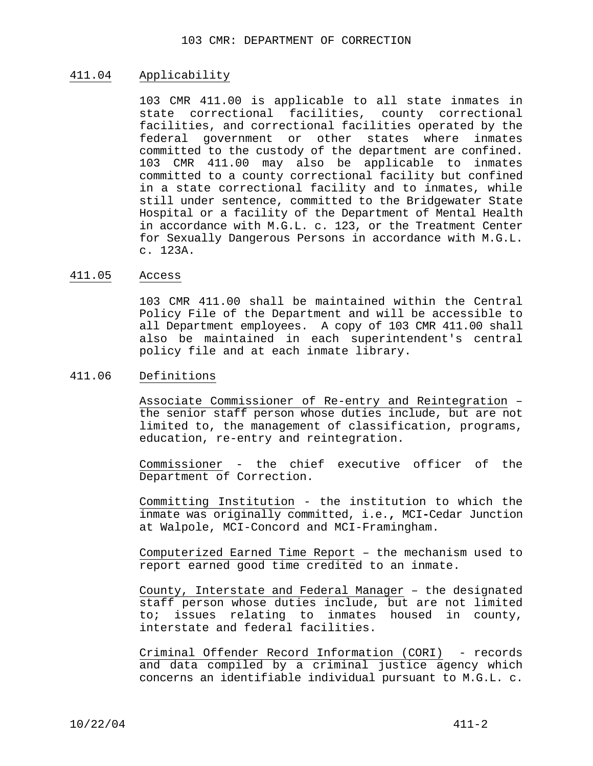# 411.04 Applicability

103 CMR 411.00 is applicable to all state inmates in state correctional facilities, county correctional facilities, and correctional facilities operated by the federal government or other states where inmates committed to the custody of the department are confined. 103 CMR 411.00 may also be applicable to inmates committed to a county correctional facility but confined in a state correctional facility and to inmates, while still under sentence, committed to the Bridgewater State Hospital or a facility of the Department of Mental Health in accordance with M.G.L. c. 123, or the Treatment Center for Sexually Dangerous Persons in accordance with M.G.L. c. 123A.

#### 411.05 Access

103 CMR 411.00 shall be maintained within the Central Policy File of the Department and will be accessible to all Department employees. A copy of 103 CMR 411.00 shall also be maintained in each superintendent's central policy file and at each inmate library.

#### 411.06 Definitions

Associate Commissioner of Re-entry and Reintegration – the senior staff person whose duties include, but are not limited to, the management of classification, programs, education, re-entry and reintegration.

 Commissioner - the chief executive officer of the Department of Correction.

 Committing Institution - the institution to which the inmate was originally committed, i.e.**,** MCI**-**Cedar Junction at Walpole, MCI-Concord and MCI-Framingham.

 Computerized Earned Time Report – the mechanism used to report earned good time credited to an inmate.

 County, Interstate and Federal Manager – the designated staff person whose duties include, but are not limited to; issues relating to inmates housed in county, interstate and federal facilities.

 Criminal Offender Record Information (CORI) - records and data compiled by a criminal justice agency which concerns an identifiable individual pursuant to M.G.L. c.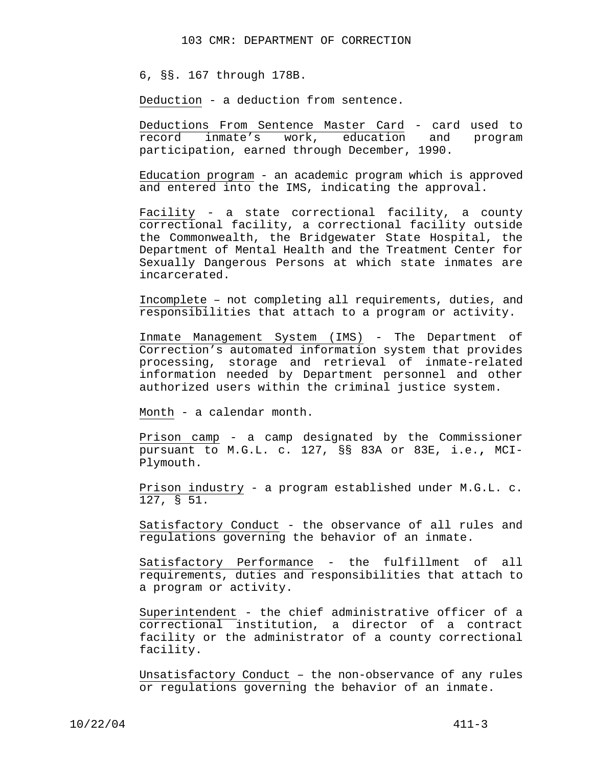6, §§. 167 through 178B.

Deduction - a deduction from sentence.

 Deductions From Sentence Master Card - card used to record inmate's work, education and program participation, earned through December, 1990.

 Education program - an academic program which is approved and entered into the IMS, indicating the approval.

Facility - a state correctional facility, a county correctional facility, a correctional facility outside the Commonwealth, the Bridgewater State Hospital, the Department of Mental Health and the Treatment Center for Sexually Dangerous Persons at which state inmates are incarcerated.

 Incomplete – not completing all requirements, duties, and responsibilities that attach to a program or activity.

Inmate Management System (IMS) - The Department of Correction's automated information system that provides processing, storage and retrieval of inmate-related information needed by Department personnel and other authorized users within the criminal justice system.

Month - a calendar month.

 Prison camp - a camp designated by the Commissioner pursuant to M.G.L. c. 127, §§ 83A or 83E, i.e.**,** MCI-Plymouth.

 Prison industry - a program established under M.G.L. c. 127, § 51.

 Satisfactory Conduct - the observance of all rules and regulations governing the behavior of an inmate.

 Satisfactory Performance - the fulfillment of all requirements, duties and responsibilities that attach to a program or activity.

 Superintendent - the chief administrative officer of a correctional institution, a director of a contract facility or the administrator of a county correctional facility.

 Unsatisfactory Conduct – the non-observance of any rules or regulations governing the behavior of an inmate.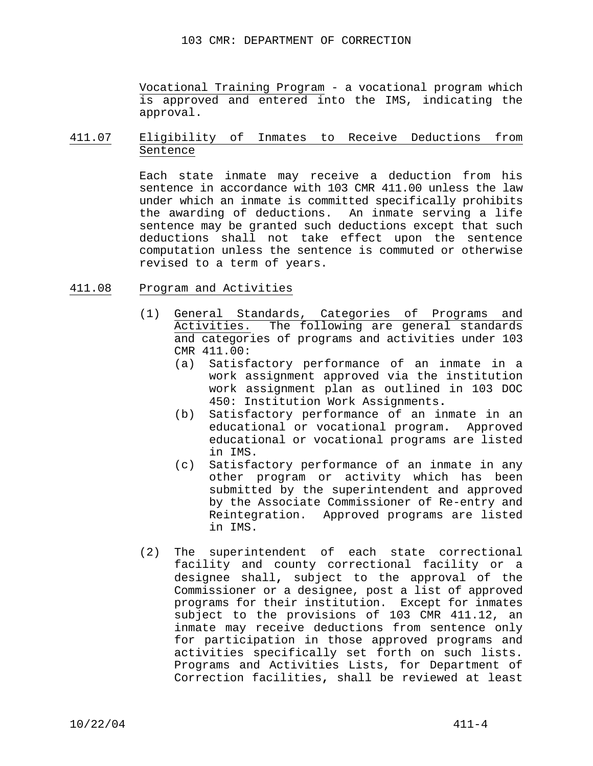Vocational Training Program - a vocational program which is approved and entered into the IMS, indicating the approval.

# 411.07 Eligibility of Inmates to Receive Deductions from Sentence

Each state inmate may receive a deduction from his sentence in accordance with 103 CMR 411.00 unless the law under which an inmate is committed specifically prohibits the awarding of deductions. An inmate serving a life sentence may be granted such deductions except that such deductions shall not take effect upon the sentence computation unless the sentence is commuted or otherwise revised to a term of years.

# 411.08 Program and Activities

- (1) General Standards, Categories of Programs and Activities. The following are general standards and categories of programs and activities under 103 CMR 411.00:
	- (a) Satisfactory performance of an inmate in a work assignment approved via the institution work assignment plan as outlined in 103 DOC 450: Institution Work Assignments**.**
	- (b) Satisfactory performance of an inmate in an educational or vocational program**.** Approved educational or vocational programs are listed in IMS.
	- (c) Satisfactory performance of an inmate in any other program or activity which has been submitted by the superintendent and approved by the Associate Commissioner of Re-entry and Reintegration. Approved programs are listed in IMS.
- (2) The superintendent of each state correctional facility and county correctional facility or a designee shall**,** subject to the approval of the Commissioner or a designee, post a list of approved programs for their institution. Except for inmates subject to the provisions of 103 CMR 411.12, an inmate may receive deductions from sentence only for participation in those approved programs and activities specifically set forth on such lists. Programs and Activities Lists, for Department of Correction facilities**,** shall be reviewed at least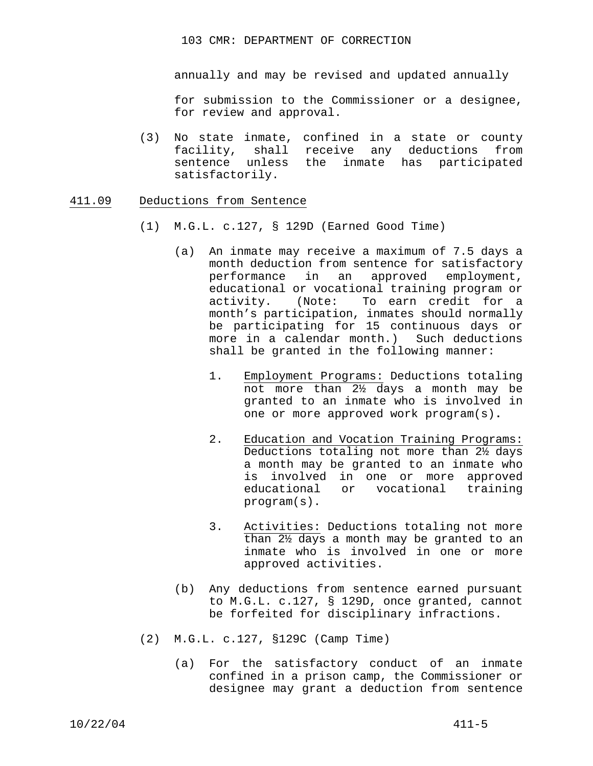annually and may be revised and updated annually

for submission to the Commissioner or a designee, for review and approval.

(3) No state inmate, confined in a state or county facility, shall receive any deductions from sentence unless the inmate has participated satisfactorily.

#### 411.09 Deductions from Sentence

- (1) M.G.L. c.127, § 129D (Earned Good Time)
	- (a) An inmate may receive a maximum of 7.5 days a month deduction from sentence for satisfactory performance in an approved employment, educational or vocational training program or activity.(Note: To earn credit for a month's participation, inmates should normally be participating for 15 continuous days or more in a calendar month.) Such deductions shall be granted in the following manner:
		- 1. Employment Programs: Deductions totaling not more than 2½ days a month may be granted to an inmate who is involved in one or more approved work program(s)**.**
		- 2. Education and Vocation Training Programs: Deductions totaling not more than 2½ days a month may be granted to an inmate who is involved in one or more approved educational or vocational training program(s).
		- 3. Activities: Deductions totaling not more than 2½ days a month may be granted to an inmate who is involved in one or more approved activities.
	- (b) Any deductions from sentence earned pursuant to M.G.L. c.127, § 129D, once granted, cannot be forfeited for disciplinary infractions.
- (2) M.G.L. c.127, §129C (Camp Time)
	- (a) For the satisfactory conduct of an inmate confined in a prison camp, the Commissioner or designee may grant a deduction from sentence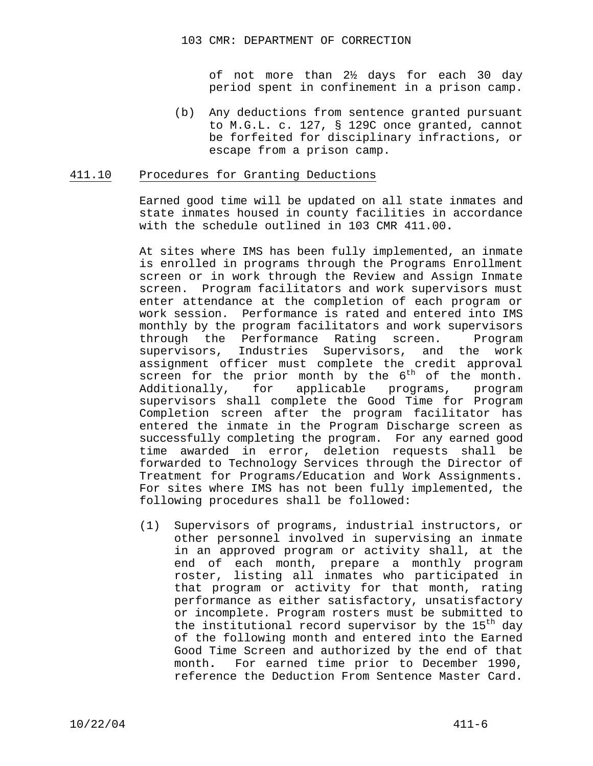of not more than 2½ days for each 30 day period spent in confinement in a prison camp.

(b) Any deductions from sentence granted pursuant to M.G.L. c. 127, § 129C once granted, cannot be forfeited for disciplinary infractions, or escape from a prison camp.

### 411.10 Procedures for Granting Deductions

Earned good time will be updated on all state inmates and state inmates housed in county facilities in accordance with the schedule outlined in 103 CMR 411.00**.**

At sites where IMS has been fully implemented, an inmate is enrolled in programs through the Programs Enrollment screen or in work through the Review and Assign Inmate screen. Program facilitators and work supervisors must enter attendance at the completion of each program or work session. Performance is rated and entered into IMS monthly by the program facilitators and work supervisors through the Performance Rating screen. Program supervisors, Industries Supervisors, and the work assignment officer must complete the credit approval screen for the prior month by the  $6<sup>th</sup>$  of the month. Additionally, for applicable programs, program supervisors shall complete the Good Time for Program Completion screen after the program facilitator has entered the inmate in the Program Discharge screen as successfully completing the program. For any earned good time awarded in error, deletion requests shall be forwarded to Technology Services through the Director of Treatment for Programs/Education and Work Assignments. For sites where IMS has not been fully implemented, the following procedures shall be followed:

(1) Supervisors of programs, industrial instructors, or other personnel involved in supervising an inmate in an approved program or activity shall, at the end of each month, prepare a monthly program roster, listing all inmates who participated in that program or activity for that month, rating performance as either satisfactory, unsatisfactory or incomplete. Program rosters must be submitted to the institutional record supervisor by the  $15<sup>th</sup>$  day of the following month and entered into the Earned Good Time Screen and authorized by the end of that month**.** For earned time prior to December 1990, reference the Deduction From Sentence Master Card.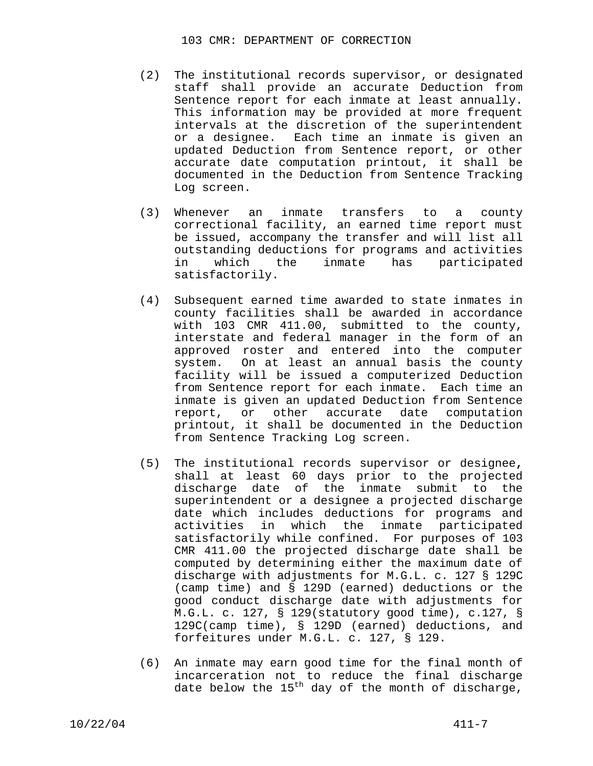- (2) The institutional records supervisor, or designated staff shall provide an accurate Deduction from Sentence report for each inmate at least annually. This information may be provided at more frequent intervals at the discretion of the superintendent or a designee. Each time an inmate is given an updated Deduction from Sentence report, or other accurate date computation printout, it shall be documented in the Deduction from Sentence Tracking Log screen.
- (3) Whenever an inmate transfers to a county correctional facility, an earned time report must be issued, accompany the transfer and will list all outstanding deductions for programs and activities in which the inmate has participated satisfactorily.
- (4) Subsequent earned time awarded to state inmates in county facilities shall be awarded in accordance with 103 CMR 411.00, submitted to the county, interstate and federal manager in the form of an approved roster and entered into the computer system. On at least an annual basis the county facility will be issued a computerized Deduction from Sentence report for each inmate. Each time an inmate is given an updated Deduction from Sentence report, or other accurate date computation printout, it shall be documented in the Deduction from Sentence Tracking Log screen.
- (5) The institutional records supervisor or designee**,**  shall at least 60 days prior to the projected discharge date of the inmate submit to the superintendent or a designee a projected discharge date which includes deductions for programs and activities in which the inmate participated satisfactorily while confined.For purposes of 103 CMR 411.00 the projected discharge date shall be computed by determining either the maximum date of discharge with adjustments for M.G.L. c. 127 § 129C (camp time) and § 129D (earned) deductions or the good conduct discharge date with adjustments for M.G.L. c. 127, § 129(statutory good time), c.127, § 129C(camp time), § 129D (earned) deductions, and forfeitures under M.G.L. c. 127, § 129.
- (6) An inmate may earn good time for the final month of incarceration not to reduce the final discharge date below the  $15<sup>th</sup>$  day of the month of discharge,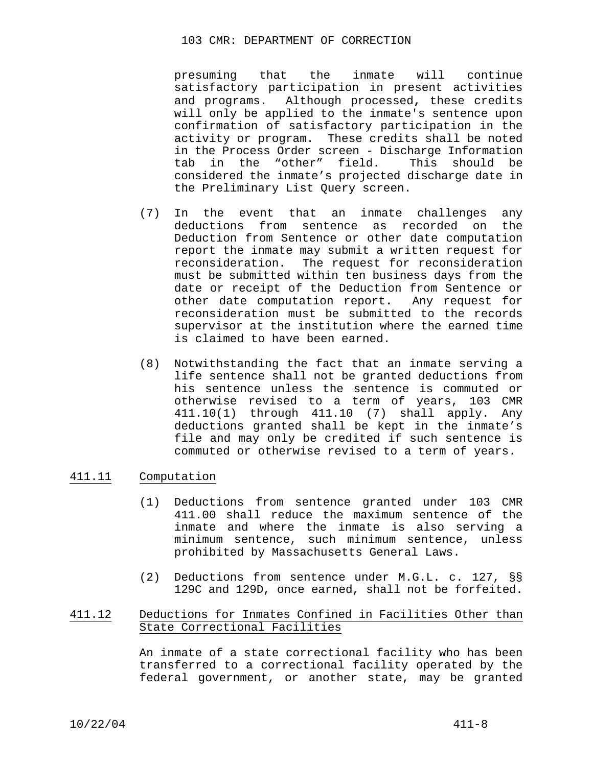#### 103 CMR: DEPARTMENT OF CORRECTION

presuming that the inmate will continue satisfactory participation in present activities and programs. Although processed**,** these credits will only be applied to the inmate's sentence upon confirmation of satisfactory participation in the activity or program. These credits shall be noted in the Process Order screen - Discharge Information tab in the "other" field. This should be considered the inmate's projected discharge date in the Preliminary List Query screen.

- (7) In the event that an inmate challenges any deductions from sentence as recorded on the Deduction from Sentence or other date computation report the inmate may submit a written request for reconsideration. The request for reconsideration must be submitted within ten business days from the date or receipt of the Deduction from Sentence or other date computation report**.** Any request for reconsideration must be submitted to the records supervisor at the institution where the earned time is claimed to have been earned.
- (8) Notwithstanding the fact that an inmate serving a life sentence shall not be granted deductions from his sentence unless the sentence is commuted or otherwise revised to a term of years, 103 CMR 411.10(1) through 411.10 (7) shall apply. Any deductions granted shall be kept in the inmate's file and may only be credited if such sentence is commuted or otherwise revised to a term of years.

# 411.11 Computation

- (1) Deductions from sentence granted under 103 CMR 411.00 shall reduce the maximum sentence of the inmate and where the inmate is also serving a minimum sentence, such minimum sentence, unless prohibited by Massachusetts General Laws.
- (2) Deductions from sentence under M.G.L. c. 127, §§ 129C and 129D, once earned, shall not be forfeited.

# 411.12 Deductions for Inmates Confined in Facilities Other than State Correctional Facilities

An inmate of a state correctional facility who has been transferred to a correctional facility operated by the federal government, or another state, may be granted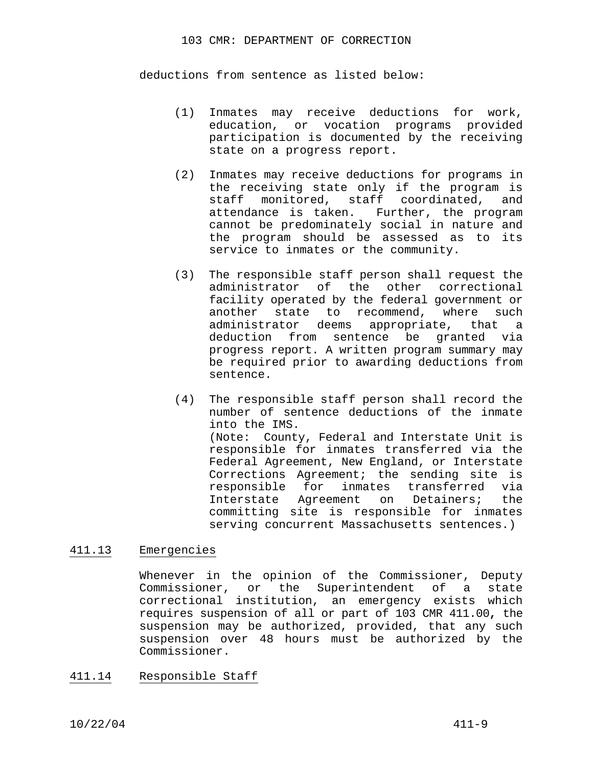deductions from sentence as listed below:

- (1) Inmates may receive deductions for work, education, or vocation programs provided participation is documented by the receiving state on a progress report.
- (2) Inmates may receive deductions for programs in the receiving state only if the program is staff monitored, staff coordinated, and attendance is taken. Further, the program cannot be predominately social in nature and the program should be assessed as to its service to inmates or the community.
- (3) The responsible staff person shall request the administrator of the other correctional facility operated by the federal government or another state to recommend, where such administrator deems appropriate, that a deduction from sentence be granted via progress report. A written program summary may be required prior to awarding deductions from sentence.
- (4) The responsible staff person shall record the number of sentence deductions of the inmate into the IMS. (Note: County, Federal and Interstate Unit is responsible for inmates transferred via the Federal Agreement, New England, or Interstate Corrections Agreement; the sending site is responsible for inmates transferred via Interstate Agreement on Detainers; the committing site is responsible for inmates serving concurrent Massachusetts sentences.)

## 411.13 Emergencies

Whenever in the opinion of the Commissioner, Deputy Commissioner, or the Superintendent of a state correctional institution, an emergency exists which requires suspension of all or part of 103 CMR 411.00**,** the suspension may be authorized, provided, that any such suspension over 48 hours must be authorized by the Commissioner.

# 411.14 Responsible Staff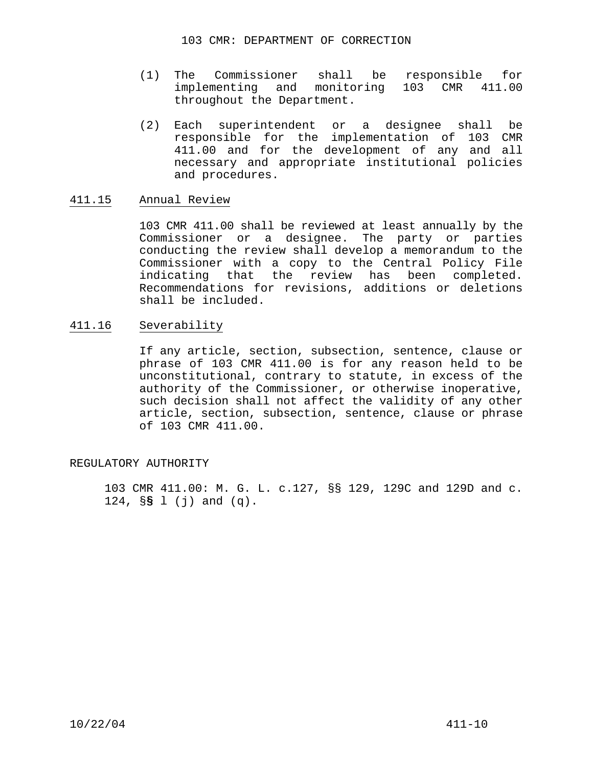- (1) The Commissioner shall be responsible for implementing and monitoring 103 CMR 411.00 throughout the Department.
- (2) Each superintendent or a designee shall be responsible for the implementation of 103 CMR 411.00 and for the development of any and all necessary and appropriate institutional policies and procedures.

## 411.15 Annual Review

103 CMR 411.00 shall be reviewed at least annually by the Commissioner or a designee. The party or parties conducting the review shall develop a memorandum to the Commissioner with a copy to the Central Policy File indicating that the review has been completed. Recommendations for revisions, additions or deletions shall be included.

## 411.16 Severability

If any article, section, subsection, sentence, clause or phrase of 103 CMR 411.00 is for any reason held to be unconstitutional, contrary to statute, in excess of the authority of the Commissioner, or otherwise inoperative, such decision shall not affect the validity of any other article, section, subsection, sentence, clause or phrase of 103 CMR 411.00.

## REGULATORY AUTHORITY

 103 CMR 411.00: M. G. L. c.127, §§ 129, 129C and 129D and c. 124, §**§** l (j) and (q).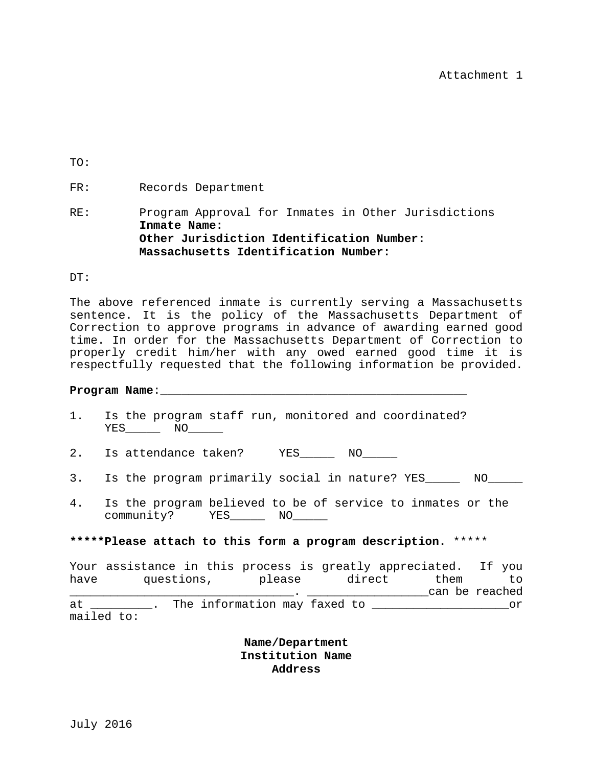TO:

# FR: Records Department

# RE: Program Approval for Inmates in Other Jurisdictions **Inmate Name: Other Jurisdiction Identification Number: Massachusetts Identification Number:**

#### DT:

The above referenced inmate is currently serving a Massachusetts sentence. It is the policy of the Massachusetts Department of Correction to approve programs in advance of awarding earned good time. In order for the Massachusetts Department of Correction to properly credit him/her with any owed earned good time it is respectfully requested that the following information be provided.

## Program Name:

- 1. Is the program staff run, monitored and coordinated? YES NO
- 2. Is attendance taken? YES\_\_\_\_\_\_ NO\_\_\_\_\_
- 3. Is the program primarily social in nature? YES\_\_\_\_\_ NO\_\_\_\_\_
- 4. Is the program believed to be of service to inmates or the community? YES\_\_\_\_\_ NO\_\_\_\_\_

## **\*\*\*\*\*Please attach to this form a program description.** \*\*\*\*\*

|      | Your assistance in this process is greatly appreciated. If you |  |  |                              |  |        |  |      |  |                |
|------|----------------------------------------------------------------|--|--|------------------------------|--|--------|--|------|--|----------------|
| have | questions,                                                     |  |  | please                       |  | direct |  | them |  | T.O            |
|      |                                                                |  |  |                              |  |        |  |      |  | can be reached |
| at   | mailed to:                                                     |  |  | The information may faxed to |  |        |  |      |  | nr.            |

**Name/Department Institution Name Address**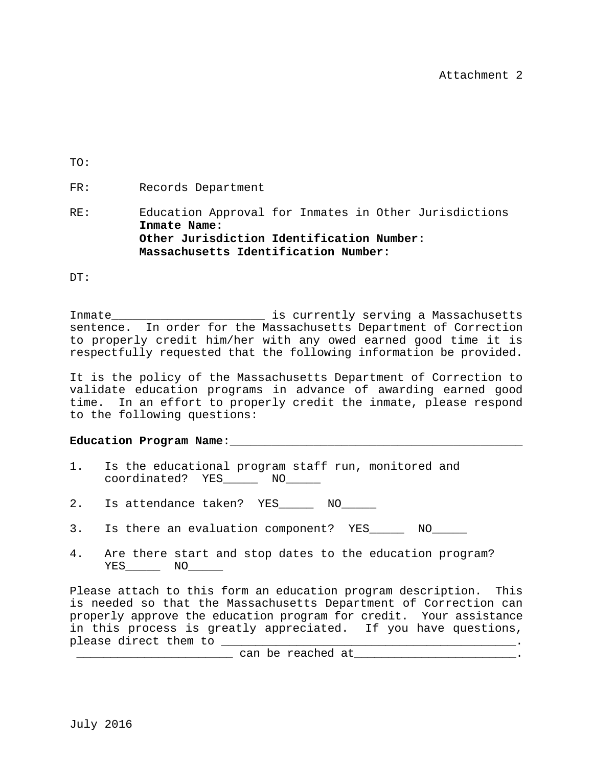TO:

FR: Records Department

RE: Education Approval for Inmates in Other Jurisdictions **Inmate Name: Other Jurisdiction Identification Number: Massachusetts Identification Number:** 

DT:

Inmate \_\_\_\_\_\_\_\_\_\_\_\_\_\_\_\_\_\_\_\_\_\_\_\_\_\_ is currently serving a Massachusetts sentence. In order for the Massachusetts Department of Correction to properly credit him/her with any owed earned good time it is respectfully requested that the following information be provided.

It is the policy of the Massachusetts Department of Correction to validate education programs in advance of awarding earned good time. In an effort to properly credit the inmate, please respond to the following questions:

## Education Program Name:

- 1. Is the educational program staff run, monitored and coordinated? YES\_\_\_\_\_ NO\_\_\_\_\_
- 2. Is attendance taken? YES\_\_\_\_\_ NO\_\_\_\_\_
- 3. Is there an evaluation component? YES\_\_\_\_\_ NO\_\_\_\_\_
- 4. Are there start and stop dates to the education program? YES\_\_\_\_\_ NO\_\_\_\_\_

Please attach to this form an education program description. This is needed so that the Massachusetts Department of Correction can properly approve the education program for credit. Your assistance in this process is greatly appreciated. If you have questions, please direct them to \_\_\_\_\_\_\_\_\_\_\_\_\_\_\_\_\_\_\_\_\_\_\_\_\_\_\_\_\_\_\_\_\_\_\_\_\_\_\_\_\_\_\_. \_\_\_\_\_\_\_\_\_\_\_\_\_\_\_\_\_\_\_\_\_\_\_ can be reached at\_\_\_\_\_\_\_\_\_\_\_\_\_\_\_\_\_\_\_\_\_\_\_\_.

July 2016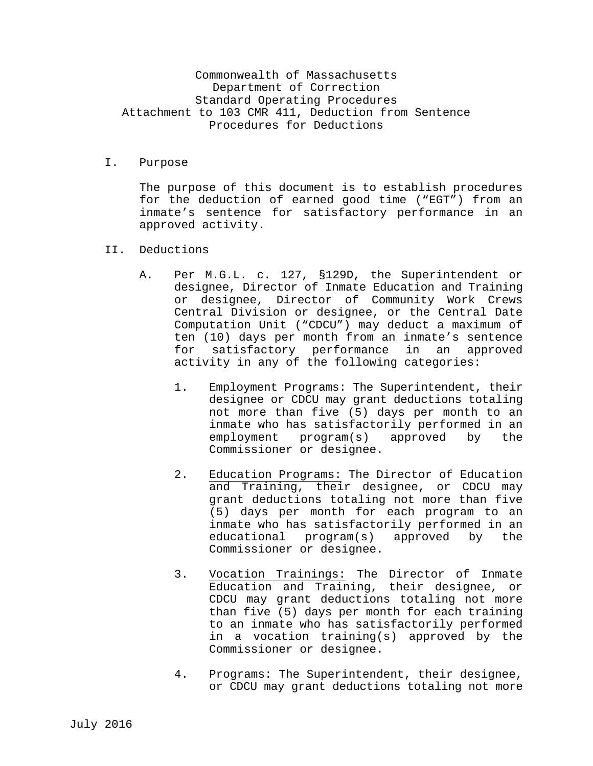# Commonwealth of Massachusetts Department of Correction Standard Operating Procedures Attachment to 103 CMR 411, Deduction from Sentence Procedures for Deductions

I. Purpose

The purpose of this document is to establish procedures for the deduction of earned good time ("EGT") from an inmate's sentence for satisfactory performance in an approved activity.

- II. Deductions
	- A. Per M.G.L. c. 127, §129D, the Superintendent or designee, Director of Inmate Education and Training or designee, Director of Community Work Crews Central Division or designee, or the Central Date Computation Unit ("CDCU") may deduct a maximum of ten (10) days per month from an inmate's sentence for satisfactory performance in an approved activity in any of the following categories:
		- 1. Employment Programs: The Superintendent, their designee or CDCU may grant deductions totaling not more than five (5) days per month to an inmate who has satisfactorily performed in an employment program(s) approved by the Commissioner or designee.
		- 2. Education Programs: The Director of Education and Training, their designee, or CDCU may grant deductions totaling not more than five (5) days per month for each program to an inmate who has satisfactorily performed in an<br>educational program(s) approved by the educational program(s) Commissioner or designee.
		- 3. Vocation Trainings: The Director of Inmate Education and Training, their designee, or CDCU may grant deductions totaling not more than five (5) days per month for each training to an inmate who has satisfactorily performed in a vocation training(s) approved by the Commissioner or designee.
		- 4. Programs: The Superintendent, their designee, or CDCU may grant deductions totaling not more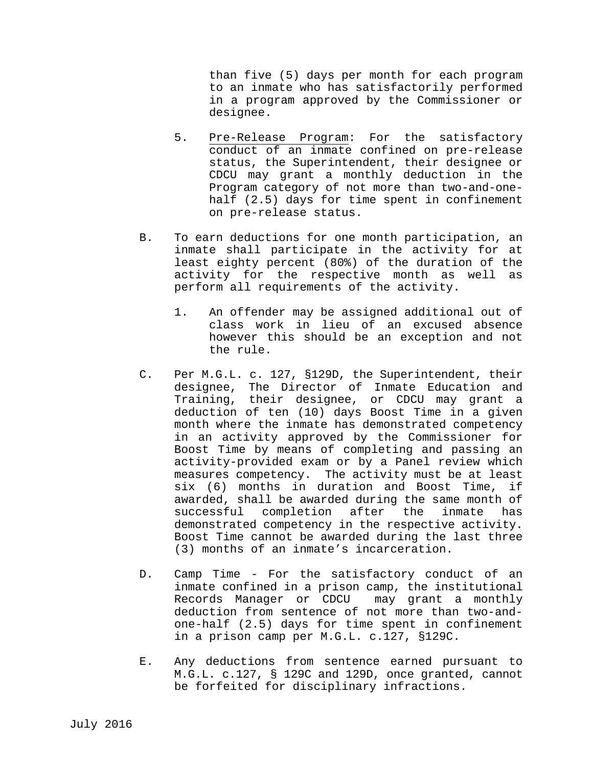than five (5) days per month for each program to an inmate who has satisfactorily performed in a program approved by the Commissioner or designee.

- 5. Pre-Release Program: For the satisfactory conduct of an inmate confined on pre-release status, the Superintendent, their designee or CDCU may grant a monthly deduction in the Program category of not more than two-and-onehalf (2.5) days for time spent in confinement on pre-release status.
- B. To earn deductions for one month participation, an inmate shall participate in the activity for at least eighty percent (80%) of the duration of the activity for the respective month as well as perform all requirements of the activity.
	- 1. An offender may be assigned additional out of class work in lieu of an excused absence however this should be an exception and not the rule.
- C. Per M.G.L. c. 127, §129D, the Superintendent, their designee, The Director of Inmate Education and Training, their designee, or CDCU may grant a deduction of ten (10) days Boost Time in a given month where the inmate has demonstrated competency in an activity approved by the Commissioner for Boost Time by means of completing and passing an activity-provided exam or by a Panel review which measures competency. The activity must be at least six (6) months in duration and Boost Time, if awarded, shall be awarded during the same month of successful completion after the inmate has demonstrated competency in the respective activity. Boost Time cannot be awarded during the last three (3) months of an inmate's incarceration.
- D. Camp Time For the satisfactory conduct of an inmate confined in a prison camp, the institutional Records Manager or CDCU may grant a monthly deduction from sentence of not more than two-andone-half (2.5) days for time spent in confinement in a prison camp per M.G.L. c.127, §129C.
- E. Any deductions from sentence earned pursuant to M.G.L. c.127, § 129C and 129D, once granted, cannot be forfeited for disciplinary infractions.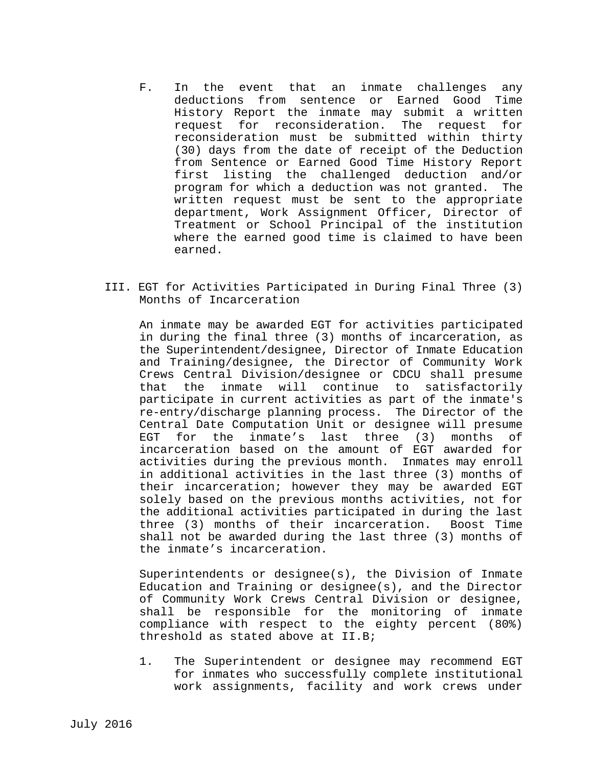- F. In the event that an inmate challenges any deductions from sentence or Earned Good Time History Report the inmate may submit a written request for reconsideration. The request for reconsideration must be submitted within thirty (30) days from the date of receipt of the Deduction from Sentence or Earned Good Time History Report first listing the challenged deduction and/or program for which a deduction was not granted. The written request must be sent to the appropriate department, Work Assignment Officer, Director of Treatment or School Principal of the institution where the earned good time is claimed to have been earned.
- III. EGT for Activities Participated in During Final Three (3) Months of Incarceration

An inmate may be awarded EGT for activities participated in during the final three (3) months of incarceration, as the Superintendent/designee, Director of Inmate Education and Training/designee, the Director of Community Work Crews Central Division/designee or CDCU shall presume that the inmate will continue to satisfactorily participate in current activities as part of the inmate's re-entry/discharge planning process. The Director of the Central Date Computation Unit or designee will presume EGT for the inmate's last three (3) months of incarceration based on the amount of EGT awarded for activities during the previous month. Inmates may enroll in additional activities in the last three (3) months of their incarceration; however they may be awarded EGT solely based on the previous months activities, not for the additional activities participated in during the last three (3) months of their incarceration. Boost Time shall not be awarded during the last three (3) months of the inmate's incarceration.

Superintendents or designee(s), the Division of Inmate Education and Training or designee(s), and the Director of Community Work Crews Central Division or designee, shall be responsible for the monitoring of inmate compliance with respect to the eighty percent (80%) threshold as stated above at II.B;

1. The Superintendent or designee may recommend EGT for inmates who successfully complete institutional work assignments, facility and work crews under